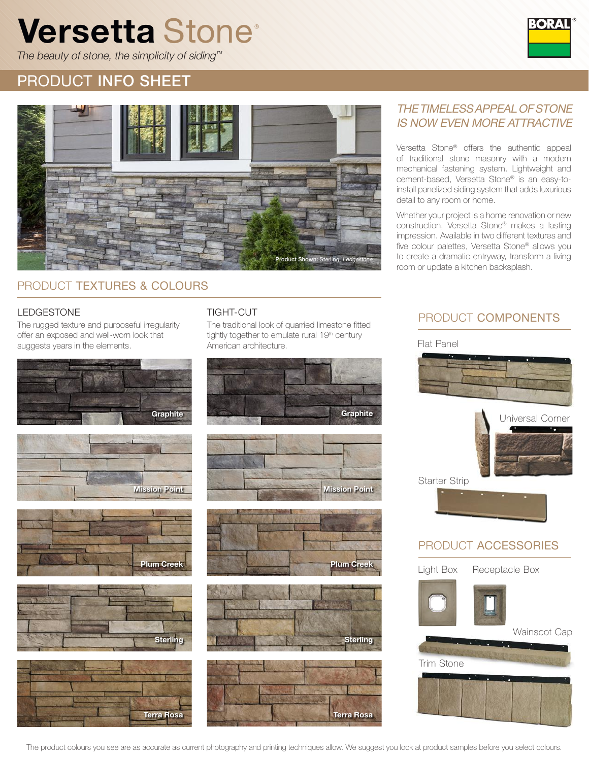# Versetta Stone®



The beauty of stone, the simplicity of siding™

## PRODUCT INFO SHEET



#### PRODUCT TEXTURES & COLOURS

#### LEDGESTONE TIGHT-CUT

The rugged texture and purposeful irregularity offer an exposed and well-worn look that suggests years in the elements.











The traditional look of quarried limestone fitted tightly together to emulate rural 19<sup>th</sup> century American architecture.









#### THE TIMELESS APPEAL OF STONE IS NOW EVEN MORE ATTRACTIVE

Versetta Stone® offers the authentic appeal of traditional stone masonry with a modern mechanical fastening system. Lightweight and cement-based, Versetta Stone® is an easy-toinstall panelized siding system that adds luxurious detail to any room or home.

Whether your project is a home renovation or new construction, Versetta Stone® makes a lasting impression. Available in two different textures and five colour palettes, Versetta Stone® allows you to create a dramatic entryway, transform a living room or update a kitchen backsplash.

#### PRODUCT COMPONENTS

Flat Panel



#### PRODUCT ACCESSORIES

Light Box Receptacle Box Wainscot Cap Trim Stone